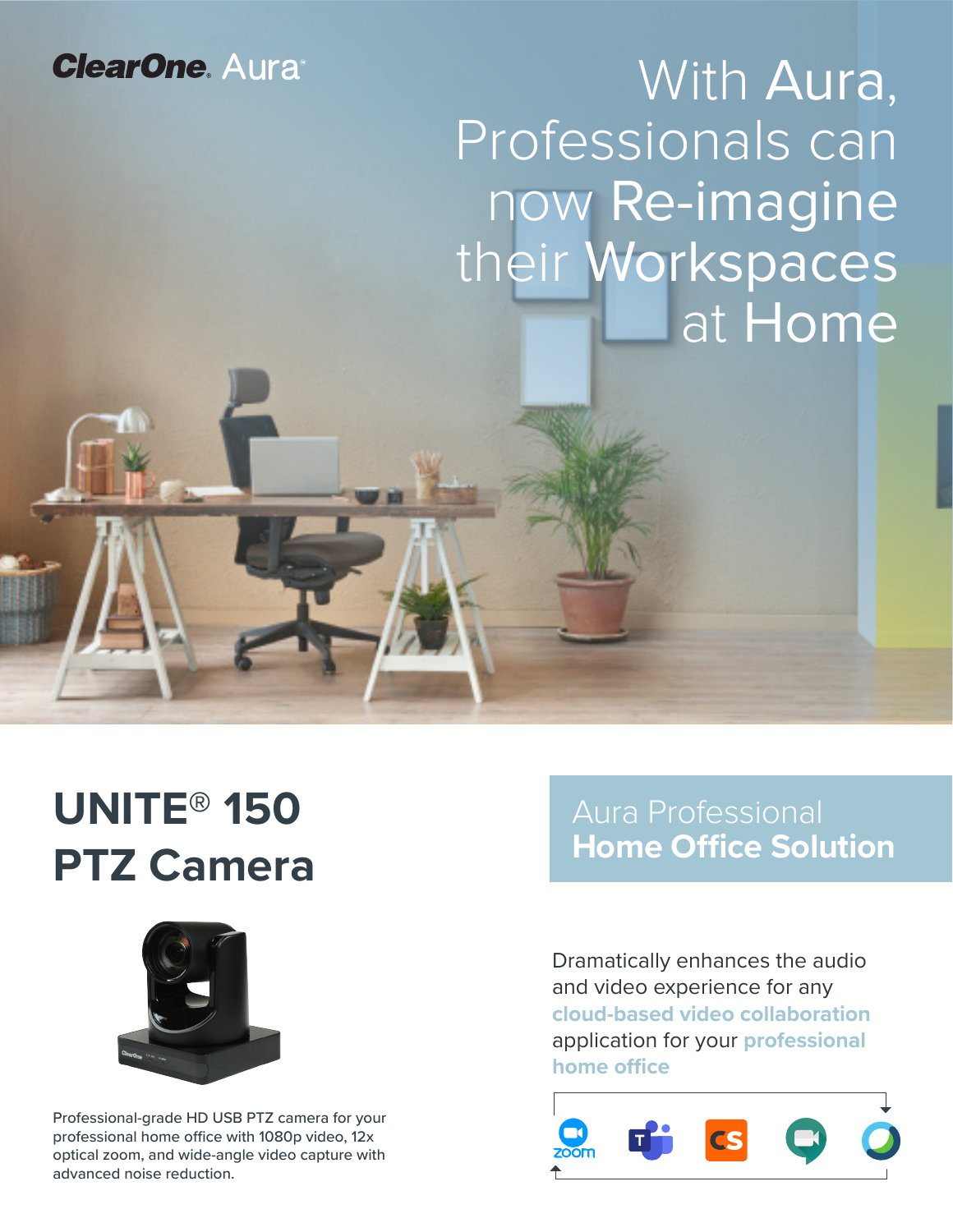## **ClearOne. Aura**

# With Aura, Professionals can now Re-imagine their Workspaces at Home

## **UNITE® 150 PTZ Camera**



Professional-grade HD USB PTZ camera for your professional home office with 1080p video, 12x optical zoom, and wide-angle video capture with advanced noise reduction.

## Aura Professional **Home Office Solution**

Dramatically enhances the audio and video experience for any **cloud-based video collaboration**  application for your **professional home office**

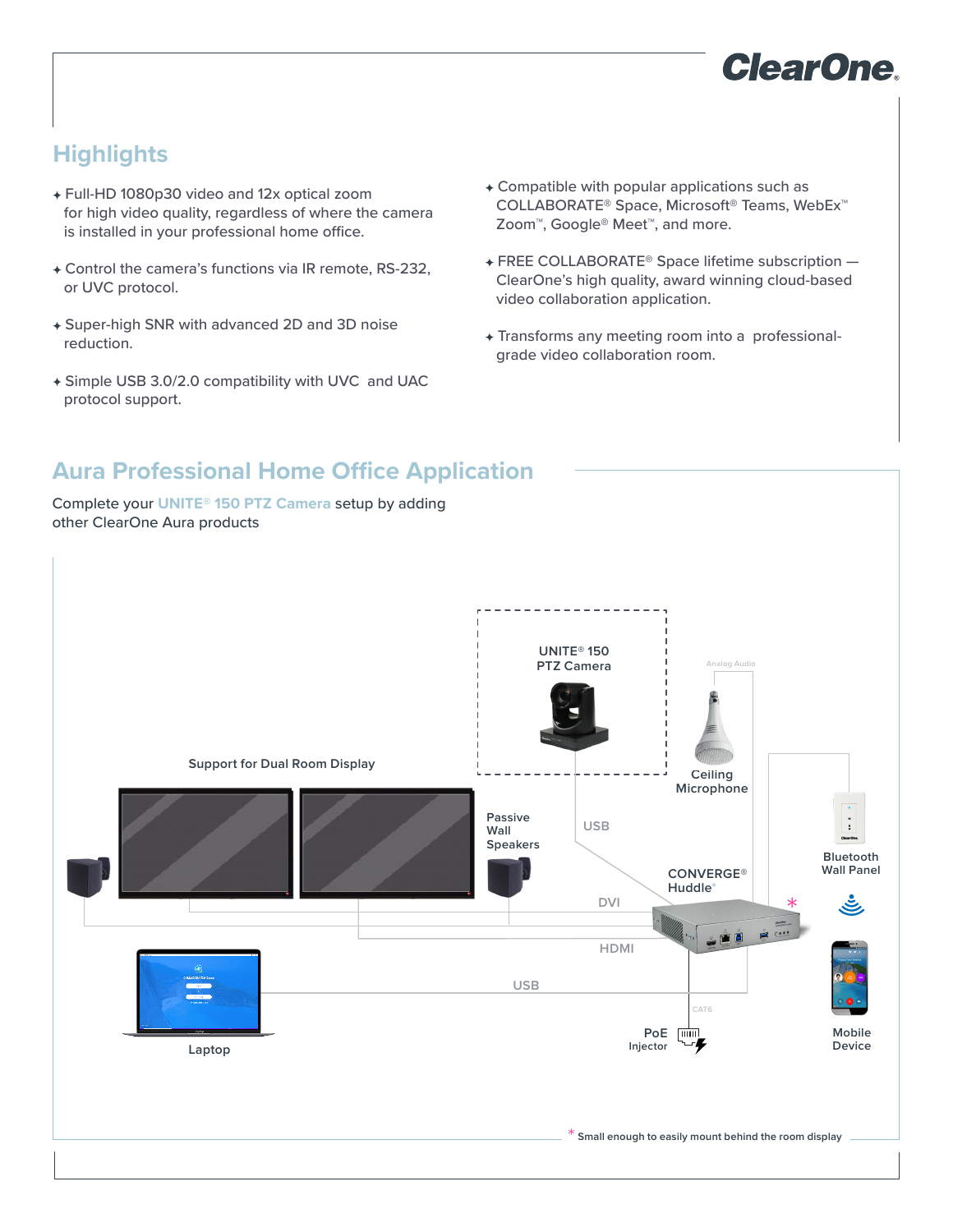

## **Highlights**

- Full-HD 1080p30 video and 12x optical zoom for high video quality, regardless of where the camera is installed in your professional home office.
- Control the camera's functions via IR remote, RS-232, or UVC protocol.
- Super-high SNR with advanced 2D and 3D noise reduction.
- Simple USB 3.0/2.0 compatibility with UVC and UAC protocol support.
- Compatible with popular applications such as COLLABORATE® Space, Microsoft® Teams, WebEx™ Zoom™, Google® Meet™, and more.
- FREE COLLABORATE® Space lifetime subscription ClearOne's high quality, award winning cloud-based video collaboration application.
- Transforms any meeting room into a professionalgrade video collaboration room.

## **Aura Professional Home Office Application**

Complete your **UNITE® 150 PTZ Camera** setup by adding other ClearOne Aura products